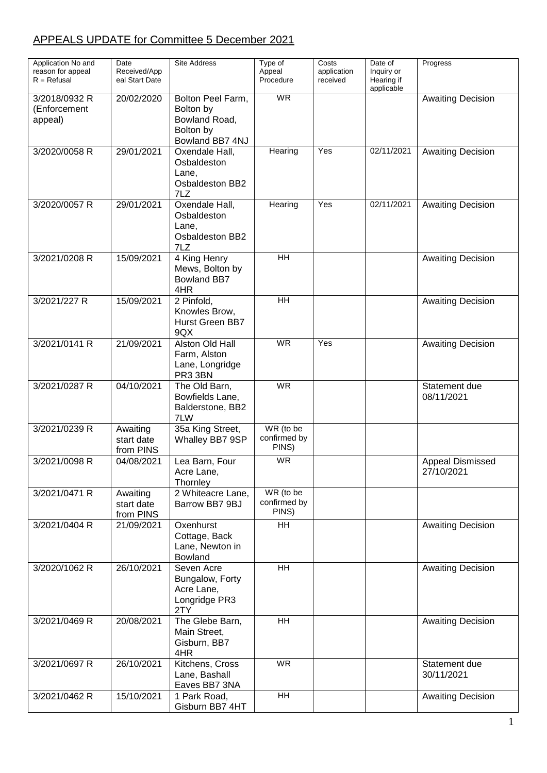## APPEALS UPDATE for Committee 5 December 2021

| Application No and<br>reason for appeal<br>$R = Refusal$ | Date<br>Received/App<br>eal Start Date | <b>Site Address</b>                                                             | Type of<br>Appeal<br>Procedure     | Costs<br>application<br>received | Date of<br>Inquiry or<br>Hearing if<br>applicable | Progress                       |
|----------------------------------------------------------|----------------------------------------|---------------------------------------------------------------------------------|------------------------------------|----------------------------------|---------------------------------------------------|--------------------------------|
| 3/2018/0932 R<br>(Enforcement<br>appeal)                 | 20/02/2020                             | Bolton Peel Farm,<br>Bolton by<br>Bowland Road,<br>Bolton by<br>Bowland BB7 4NJ | <b>WR</b>                          |                                  |                                                   | <b>Awaiting Decision</b>       |
| 3/2020/0058 R                                            | 29/01/2021                             | Oxendale Hall,<br>Osbaldeston<br>Lane,<br>Osbaldeston BB2<br>7LZ                | Hearing                            | Yes                              | 02/11/2021                                        | <b>Awaiting Decision</b>       |
| 3/2020/0057 R                                            | 29/01/2021                             | Oxendale Hall,<br>Osbaldeston<br>Lane,<br>Osbaldeston BB2<br>7LZ                | Hearing                            | Yes                              | 02/11/2021                                        | <b>Awaiting Decision</b>       |
| 3/2021/0208 R                                            | 15/09/2021                             | 4 King Henry<br>Mews, Bolton by<br><b>Bowland BB7</b><br>4HR                    | $\overline{H}$                     |                                  |                                                   | <b>Awaiting Decision</b>       |
| 3/2021/227 R                                             | 15/09/2021                             | 2 Pinfold,<br>Knowles Brow,<br><b>Hurst Green BB7</b><br>9QX                    | $\overline{H}$                     |                                  |                                                   | <b>Awaiting Decision</b>       |
| 3/2021/0141 R                                            | 21/09/2021                             | Alston Old Hall<br>Farm, Alston<br>Lane, Longridge<br>PR3 3BN                   | <b>WR</b>                          | Yes                              |                                                   | <b>Awaiting Decision</b>       |
| 3/2021/0287 R                                            | 04/10/2021                             | The Old Barn,<br>Bowfields Lane,<br>Balderstone, BB2<br>7LW                     | <b>WR</b>                          |                                  |                                                   | Statement due<br>08/11/2021    |
| 3/2021/0239 R                                            | Awaiting<br>start date<br>from PINS    | 35a King Street,<br>Whalley BB7 9SP                                             | WR (to be<br>confirmed by<br>PINS) |                                  |                                                   |                                |
| 3/2021/0098 R                                            | 04/08/2021                             | Lea Barn, Four<br>Acre Lane,<br>Thornley                                        | <b>WR</b>                          |                                  |                                                   | Appeal Dismissed<br>27/10/2021 |
| 3/2021/0471 R                                            | Awaiting<br>start date<br>from PINS    | 2 Whiteacre Lane,<br>Barrow BB7 9BJ                                             | WR (to be<br>confirmed by<br>PINS) |                                  |                                                   |                                |
| 3/2021/0404 R                                            | 21/09/2021                             | Oxenhurst<br>Cottage, Back<br>Lane, Newton in<br>Bowland                        | <b>HH</b>                          |                                  |                                                   | <b>Awaiting Decision</b>       |
| 3/2020/1062 R                                            | 26/10/2021                             | Seven Acre<br>Bungalow, Forty<br>Acre Lane,<br>Longridge PR3<br>2TY             | <b>HH</b>                          |                                  |                                                   | <b>Awaiting Decision</b>       |
| 3/2021/0469 R                                            | 20/08/2021                             | The Glebe Barn,<br>Main Street,<br>Gisburn, BB7<br>4HR                          | <b>HH</b>                          |                                  |                                                   | <b>Awaiting Decision</b>       |
| 3/2021/0697 R                                            | 26/10/2021                             | Kitchens, Cross<br>Lane, Bashall<br>Eaves BB7 3NA                               | <b>WR</b>                          |                                  |                                                   | Statement due<br>30/11/2021    |
| 3/2021/0462 R                                            | 15/10/2021                             | 1 Park Road,<br>Gisburn BB7 4HT                                                 | <b>HH</b>                          |                                  |                                                   | <b>Awaiting Decision</b>       |